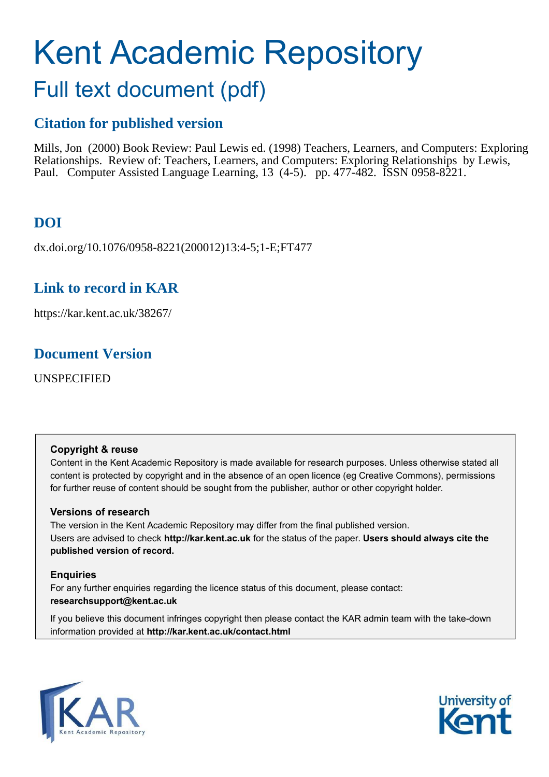# Kent Academic Repository

# Full text document (pdf)

## **Citation for published version**

Mills, Jon (2000) Book Review: Paul Lewis ed. (1998) Teachers, Learners, and Computers: Exploring Relationships. Review of: Teachers, Learners, and Computers: Exploring Relationships by Lewis, Paul. Computer Assisted Language Learning, 13 (4-5). pp. 477-482. ISSN 0958-8221.

# **DOI**

dx.doi.org/10.1076/0958-8221(200012)13:4-5;1-E;FT477

## **Link to record in KAR**

https://kar.kent.ac.uk/38267/

## **Document Version**

UNSPECIFIED

## **Copyright & reuse**

Content in the Kent Academic Repository is made available for research purposes. Unless otherwise stated all content is protected by copyright and in the absence of an open licence (eg Creative Commons), permissions for further reuse of content should be sought from the publisher, author or other copyright holder.

## **Versions of research**

The version in the Kent Academic Repository may differ from the final published version. Users are advised to check **http://kar.kent.ac.uk** for the status of the paper. **Users should always cite the published version of record.**

## **Enquiries**

For any further enquiries regarding the licence status of this document, please contact: **researchsupport@kent.ac.uk**

If you believe this document infringes copyright then please contact the KAR admin team with the take-down information provided at **http://kar.kent.ac.uk/contact.html**



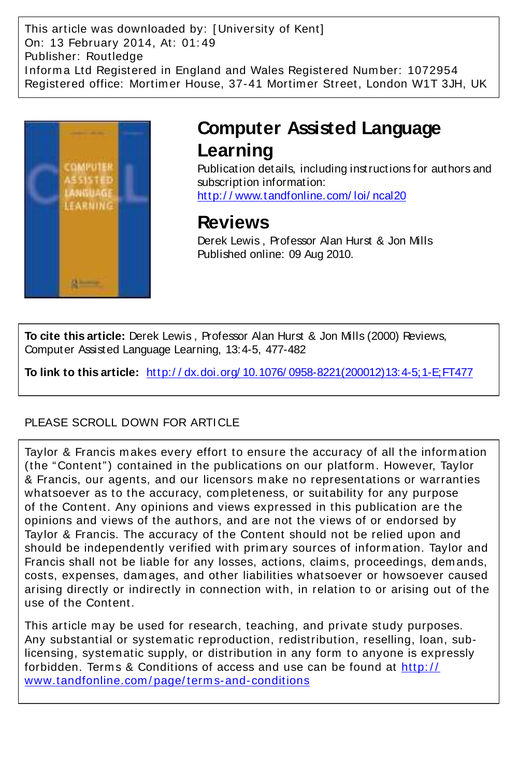This article was downloaded by: [ University of Kent] On: 13 February 2014, At: 01: 49 Publisher: Routledge I nform a Ltd Registered in England and Wales Registered Num ber: 1072954 Registered office: Mortim er House, 37-41 Mortim er Street, London W1T 3JH, UK



# **Computer Assisted Language Learning**

Publication details, including instructions for authors and subscription information: [http:/ / www.tandfonline.com/ loi/ ncal20](http://www.tandfonline.com/loi/ncal20)

## **Reviews**

Derek Lewis , Professor Alan Hurst & Jon Mills Published online: 09 Aug 2010.

**To cite this article:** Derek Lewis , Professor Alan Hurst & Jon Mills (2000) Reviews, Computer Assisted Language Learning, 13:4-5, 477-482

**To link to this article:** [http:/ / dx.doi.org/ 10.1076/ 0958-8221\(200012\)13:4-5;1-E;FT477](http://dx.doi.org/10.1076/0958-8221(200012)13:4-5;1-E;FT477)

## PLEASE SCROLL DOWN FOR ARTICLE

Taylor & Francis m akes every effort to ensure the accuracy of all the inform ation (the "Content") contained in the publications on our platform . However, Taylor & Francis, our agents, and our licensors m ake no representations or warranties whatsoever as to the accuracy, completeness, or suitability for any purpose of the Content. Any opinions and views expressed in this publication are the opinions and views of the authors, and are not the views of or endorsed by Taylor & Francis. The accuracy of the Content should not be relied upon and should be independently verified with prim ary sources of inform ation. Taylor and Francis shall not be liable for any losses, actions, claim s, proceedings, dem ands, costs, expenses, dam ages, and other liabilities whatsoever or howsoever caused arising directly or indirectly in connection with, in relation to or arising out of the use of the Content.

This article m ay be used for research, teaching, and private study purposes. Any substantial or system atic reproduction, redistribution, reselling, loan, sublicensing, system atic supply, or distribution in any form to anyone is expressly forbidden. Terms & Conditions of access and use can be found at http:// [www.tandfonline.com / page/ term s-and-conditions](http://www.tandfonline.com/page/terms-and-conditions)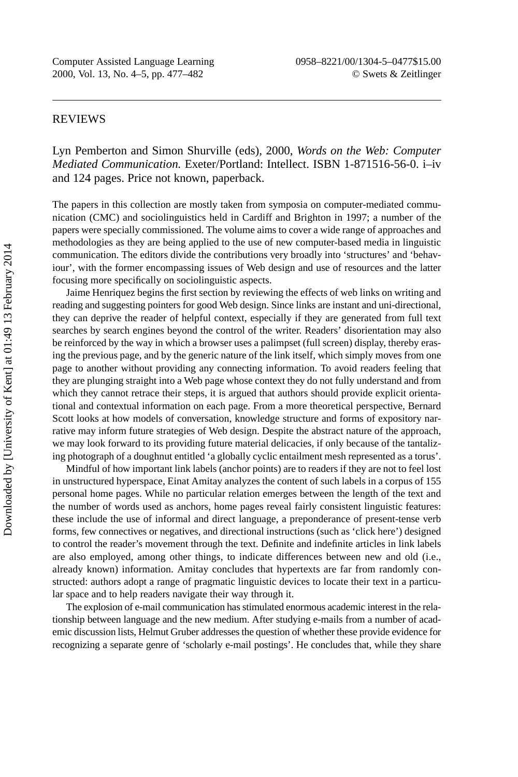Lyn Pemberton and Simon Shurville (eds), 2000, *Words on the Web: Computer Mediated Communication.* Exeter/Portland: Intellect. ISBN 1-871516-56-0. i–iv and 124 pages. Price not known, paperback.

The papers in this collection are mostly taken from symposia on computer-mediated communication (CMC) and sociolinguistics held in Cardiff and Brighton in 1997; a number of the papers were specially commissioned. The volume aims to cover a wide range of approaches and methodologies as they are being applied to the use of new computer-based media in linguistic communication. The editors divide the contributions very broadly into 'structures' and 'behaviour', with the former encompassing issues of Web design and use of resources and the latter focusing more specifically on sociolinguistic aspects.

Jaime Henriquez begins the first section by reviewing the effects of web links on writing and reading and suggesting pointers for good Web design. Since links are instant and uni-directional, they can deprive the reader of helpful context, especially if they are generated from full text searches by search engines beyond the control of the writer. Readers' disorientation may also be reinforced by the way in which a browser uses a palimpset (full screen) display, thereby erasing the previous page, and by the generic nature of the link itself, which simply moves from one page to another without providing any connecting information. To avoid readers feeling that they are plunging straight into a Web page whose context they do not fully understand and from which they cannot retrace their steps, it is argued that authors should provide explicit orientational and contextual information on each page. From a more theoretical perspective, Bernard Scott looks at how models of conversation, knowledge structure and forms of expository narrative may inform future strategies of Web design. Despite the abstract nature of the approach, we may look forward to its providing future material delicacies, if only because of the tantalizing photograph of a doughnut entitled 'a globally cyclic entailment mesh represented as a torus'.

Mindful of how important link labels (anchor points) are to readers if they are not to feel lost in unstructured hyperspace, Einat Amitay analyzes the content of such labels in a corpus of 155 personal home pages. While no particular relation emerges between the length of the text and the number of words used as anchors, home pages reveal fairly consistent linguistic features: these include the use of informal and direct language, a preponderance of present-tense verb forms, few connectives or negatives, and directional instructions (such as 'click here') designed to control the reader's movement through the text. Definite and indefinite articles in link labels are also employed, among other things, to indicate differences between new and old (i.e., already known) information. Amitay concludes that hypertexts are far from randomly constructed: authors adopt a range of pragmatic linguistic devices to locate their text in a particular space and to help readers navigate their way through it.

The explosion of e-mail communication has stimulated enormous academic interest in the relationship between language and the new medium. After studying e-mails from a number of academic discussion lists, Helmut Gruber addresses the question of whether these provide evidence for recognizing a separate genre of 'scholarly e-mail postings'. He concludes that, while they share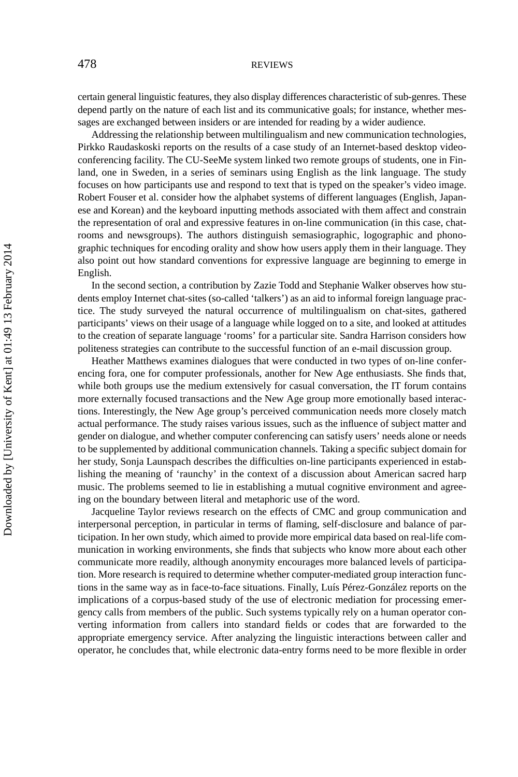certain general linguistic features, they also display differences characteristic of sub-genres. These depend partly on the nature of each list and its communicative goals; for instance, whether messages are exchanged between insiders or are intended for reading by a wider audience.

Addressing the relationship between multilingualism and new communication technologies, Pirkko Raudaskoski reports on the results of a case study of an Internet-based desktop videoconferencing facility. The CU-SeeMe system linked two remote groups of students, one in Finland, one in Sweden, in a series of seminars using English as the link language. The study focuses on how participants use and respond to text that is typed on the speaker's video image. Robert Fouser et al. consider how the alphabet systems of different languages (English, Japanese and Korean) and the keyboard inputting methods associated with them affect and constrain the representation of oral and expressive features in on-line communication (in this case, chatrooms and newsgroups). The authors distinguish semasiographic, logographic and phonographic techniques for encoding orality and show how users apply them in their language. They also point out how standard conventions for expressive language are beginning to emerge in English.

In the second section, a contribution by Zazie Todd and Stephanie Walker observes how students employ Internet chat-sites (so-called 'talkers') as an aid to informal foreign language practice. The study surveyed the natural occurrence of multilingualism on chat-sites, gathered participants' views on their usage of a language while logged on to a site, and looked at attitudes to the creation of separate language 'rooms' for a particular site. Sandra Harrison considers how politeness strategies can contribute to the successful function of an e-mail discussion group.

Heather Matthews examines dialogues that were conducted in two types of on-line conferencing fora, one for computer professionals, another for New Age enthusiasts. She finds that, while both groups use the medium extensively for casual conversation, the IT forum contains more externally focused transactions and the New Age group more emotionally based interactions. Interestingly, the New Age group's perceived communication needs more closely match actual performance. The study raises various issues, such as the influence of subject matter and gender on dialogue, and whether computer conferencing can satisfy users' needs alone or needs to be supplemented by additional communication channels. Taking a specific subject domain for her study, Sonja Launspach describes the difficulties on-line participants experienced in establishing the meaning of 'raunchy' in the context of a discussion about American sacred harp music. The problems seemed to lie in establishing a mutual cognitive environment and agreeing on the boundary between literal and metaphoric use of the word.

Jacqueline Taylor reviews research on the effects of CMC and group communication and interpersonal perception, in particular in terms of flaming, self-disclosure and balance of participation. In her own study, which aimed to provide more empirical data based on real-life communication in working environments, she finds that subjects who know more about each other communicate more readily, although anonymity encourages more balanced levels of participation. More research is required to determine whether computer-mediated group interaction functions in the same way as in face-to-face situations. Finally, Luís Pérez-González reports on the implications of a corpus-based study of the use of electronic mediation for processing emergency calls from members of the public. Such systems typically rely on a human operator converting information from callers into standard fields or codes that are forwarded to the appropriate emergency service. After analyzing the linguistic interactions between caller and operator, he concludes that, while electronic data-entry forms need to be more flexible in order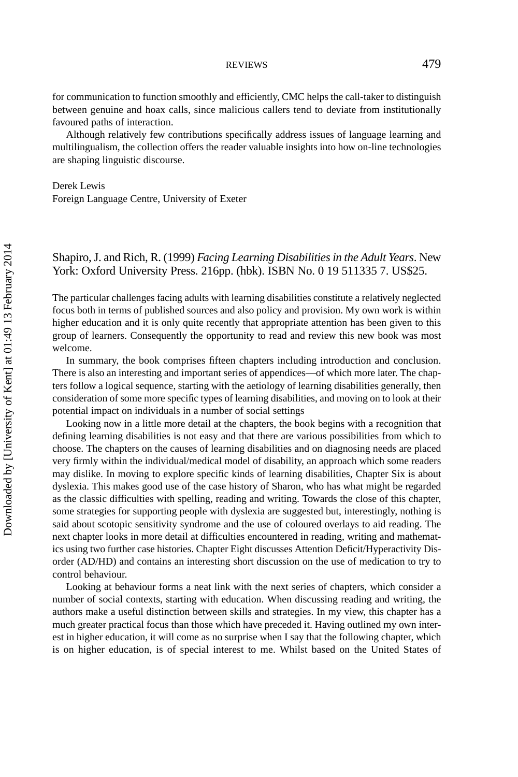for communication to function smoothly and efficiently, CMC helps the call-taker to distinguish between genuine and hoax calls, since malicious callers tend to deviate from institutionally favoured paths of interaction.

Although relatively few contributions specifically address issues of language learning and multilingualism, the collection offers the reader valuable insights into how on-line technologies are shaping linguistic discourse.

#### Derek Lewis

Foreign Language Centre, University of Exeter

#### Shapiro, J. and Rich, R. (1999) *Facing Learning Disabilities in the Adult Years*. New York: Oxford University Press. 216pp. (hbk). ISBN No. 0 19 511335 7. US\$25.

The particular challenges facing adults with learning disabilities constitute a relatively neglected focus both in terms of published sources and also policy and provision. My own work is within higher education and it is only quite recently that appropriate attention has been given to this group of learners. Consequently the opportunity to read and review this new book was most welcome.

In summary, the book comprises fifteen chapters including introduction and conclusion. There is also an interesting and important series of appendices—of which more later. The chapters follow a logical sequence, starting with the aetiology of learning disabilities generally, then consideration of some more specific types of learning disabilities, and moving on to look at their potential impact on individuals in a number of social settings

Looking now in a little more detail at the chapters, the book begins with a recognition that defining learning disabilities is not easy and that there are various possibilities from which to choose. The chapters on the causes of learning disabilities and on diagnosing needs are placed very firmly within the individual/medical model of disability, an approach which some readers may dislike. In moving to explore specific kinds of learning disabilities, Chapter Six is about dyslexia. This makes good use of the case history of Sharon, who has what might be regarded as the classic difficulties with spelling, reading and writing. Towards the close of this chapter, some strategies for supporting people with dyslexia are suggested but, interestingly, nothing is said about scotopic sensitivity syndrome and the use of coloured overlays to aid reading. The next chapter looks in more detail at difficulties encountered in reading, writing and mathematics using two further case histories. Chapter Eight discusses Attention Deficit/Hyperactivity Disorder (AD/HD) and contains an interesting short discussion on the use of medication to try to control behaviour.

Looking at behaviour forms a neat link with the next series of chapters, which consider a number of social contexts, starting with education. When discussing reading and writing, the authors make a useful distinction between skills and strategies. In my view, this chapter has a much greater practical focus than those which have preceded it. Having outlined my own interest in higher education, it will come as no surprise when I say that the following chapter, which is on higher education, is of special interest to me. Whilst based on the United States of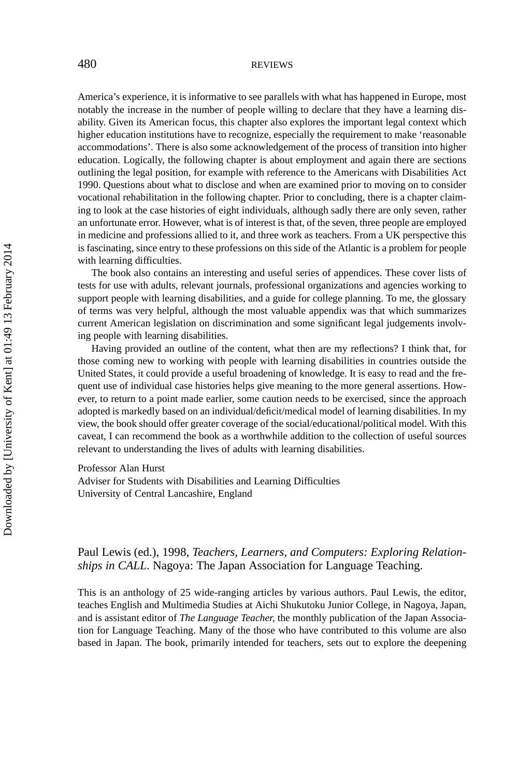America's experience, it is informative to see parallels with what has happened in Europe, most notably the increase in the number of people willing to declare that they have a learning disability. Given its American focus, this chapter also explores the important legal context which higher education institutions have to recognize, especially the requirement to make 'reasonable accommodations'. There is also some acknowledgement of the process of transition into higher education. Logically, the following chapter is about employment and again there are sections outlining the legal position, for example with reference to the Americans with Disabilities Act 1990. Questions about what to disclose and when are examined prior to moving on to consider vocational rehabilitation in the following chapter. Prior to concluding, there is a chapter claiming to look at the case histories of eight individuals, although sadly there are only seven, rather an unfortunate error. However, what is of interest is that, of the seven, three people are employed in medicine and professions allied to it, and three work as teachers. From a UK perspective this is fascinating, since entry to these professions on this side of the Atlantic is a problem for people with learning difficulties.

The book also contains an interesting and useful series of appendices. These cover lists of tests for use with adults, relevant journals, professional organizations and agencies working to support people with learning disabilities, and a guide for college planning. To me, the glossary of terms was very helpful, although the most valuable appendix was that which summarizes current American legislation on discrimination and some significant legal judgements involving people with learning disabilities.

Having provided an outline of the content, what then are my reflections? I think that, for those coming new to working with people with learning disabilities in countries outside the United States, it could provide a useful broadening of knowledge. It is easy to read and the frequent use of individual case histories helps give meaning to the more general assertions. However, to return to a point made earlier, some caution needs to be exercised, since the approach adopted is markedly based on an individual/deficit/medical model of learning disabilities. In my view, the book should offer greater coverage of the social/educational/political model. With this caveat, I can recommend the book as a worthwhile addition to the collection of useful sources relevant to understanding the lives of adults with learning disabilities.

#### Professor Alan Hurst

Adviser for Students with Disabilities and Learning Difficulties University of Central Lancashire, England

#### Paul Lewis (ed.), 1998, *Teachers, Learners, and Computers: Exploring Relationships in CALL*. Nagoya: The Japan Association for Language Teaching.

This is an anthology of 25 wide-ranging articles by various authors. Paul Lewis, the editor, teaches English and Multimedia Studies at Aichi Shukutoku Junior College, in Nagoya, Japan, and is assistant editor of *The Language Teacher,* the monthly publication of the Japan Association for Language Teaching. Many of the those who have contributed to this volume are also based in Japan. The book, primarily intended for teachers, sets out to explore the deepening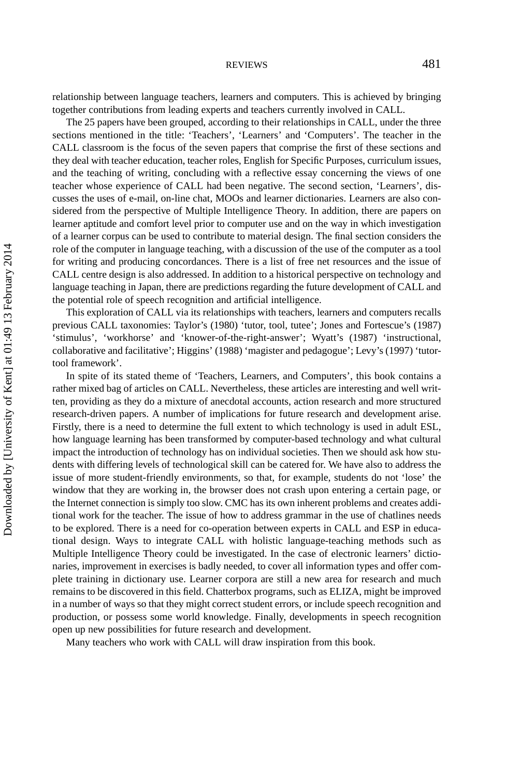relationship between language teachers, learners and computers. This is achieved by bringing together contributions from leading experts and teachers currently involved in CALL.

The 25 papers have been grouped, according to their relationships in CALL, under the three sections mentioned in the title: 'Teachers', 'Learners' and 'Computers'. The teacher in the CALL classroom is the focus of the seven papers that comprise the first of these sections and they deal with teacher education, teacher roles, English for Specific Purposes, curriculum issues, and the teaching of writing, concluding with a reflective essay concerning the views of one teacher whose experience of CALL had been negative. The second section, 'Learners', discusses the uses of e-mail, on-line chat, MOOs and learner dictionaries. Learners are also considered from the perspective of Multiple Intelligence Theory. In addition, there are papers on learner aptitude and comfort level prior to computer use and on the way in which investigation of a learner corpus can be used to contribute to material design. The final section considers the role of the computer in language teaching, with a discussion of the use of the computer as a tool for writing and producing concordances. There is a list of free net resources and the issue of CALL centre design is also addressed. In addition to a historical perspective on technology and language teaching in Japan, there are predictions regarding the future development of CALL and the potential role of speech recognition and artificial intelligence.

This exploration of CALL via its relationships with teachers, learners and computers recalls previous CALL taxonomies: Taylor's (1980) 'tutor, tool, tutee'; Jones and Fortescue's (1987) 'stimulus', 'workhorse' and 'knower-of-the-right-answer'; Wyatt's (1987) 'instructional, collaborative and facilitative'; Higgins' (1988) 'magister and pedagogue'; Levy's (1997) 'tutortool framework'.

In spite of its stated theme of 'Teachers, Learners, and Computers', this book contains a rather mixed bag of articles on CALL. Nevertheless, these articles are interesting and well written, providing as they do a mixture of anecdotal accounts, action research and more structured research-driven papers. A number of implications for future research and development arise. Firstly, there is a need to determine the full extent to which technology is used in adult ESL, how language learning has been transformed by computer-based technology and what cultural impact the introduction of technology has on individual societies. Then we should ask how students with differing levels of technological skill can be catered for. We have also to address the issue of more student-friendly environments, so that, for example, students do not 'lose' the window that they are working in, the browser does not crash upon entering a certain page, or the Internet connection is simply too slow. CMC has its own inherent problems and creates additional work for the teacher. The issue of how to address grammar in the use of chatlines needs to be explored. There is a need for co-operation between experts in CALL and ESP in educational design. Ways to integrate CALL with holistic language-teaching methods such as Multiple Intelligence Theory could be investigated. In the case of electronic learners' dictionaries, improvement in exercises is badly needed, to cover all information types and offer complete training in dictionary use. Learner corpora are still a new area for research and much remains to be discovered in this field. Chatterbox programs, such as ELIZA, might be improved in a number of ways so that they might correct student errors, or include speech recognition and production, or possess some world knowledge. Finally, developments in speech recognition open up new possibilities for future research and development.

Many teachers who work with CALL will draw inspiration from this book.